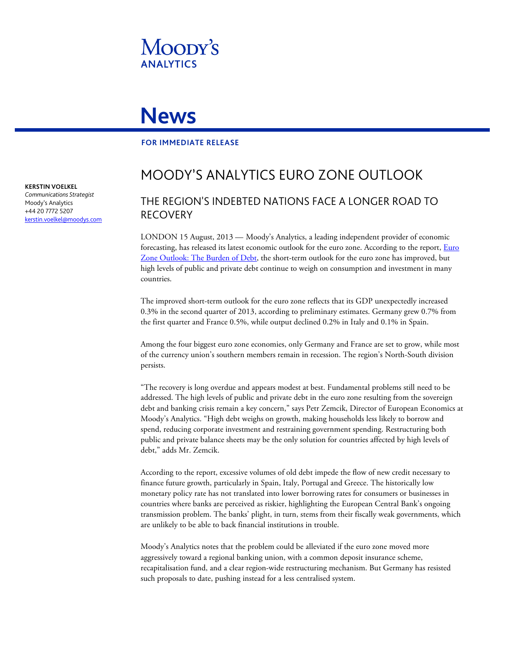

# **News**

#### **FOR IMMEDIATE RELEASE**

## MOODY'S ANALYTICS EURO ZONE OUTLOOK

### THE REGION'S INDEBTED NATIONS FACE A LONGER ROAD TO RECOVERY

LONDON 15 August, 2013 — Moody's Analytics, a leading independent provider of economic forecasting, has released its latest economic outlook for the euro zone. According to the report, *Euro* [Zone Outlook: The Burden of Debt,](http://www.economy.com/dismal/pro/article.asp?cid=241876) the short-term outlook for the euro zone has improved, but high levels of public and private debt continue to weigh on consumption and investment in many countries.

The improved short-term outlook for the euro zone reflects that its GDP unexpectedly increased 0.3% in the second quarter of 2013, according to preliminary estimates. Germany grew 0.7% from the first quarter and France 0.5%, while output declined 0.2% in Italy and 0.1% in Spain.

Among the four biggest euro zone economies, only Germany and France are set to grow, while most of the currency union's southern members remain in recession. The region's North-South division persists.

"The recovery is long overdue and appears modest at best. Fundamental problems still need to be addressed. The high levels of public and private debt in the euro zone resulting from the sovereign debt and banking crisis remain a key concern," says Petr Zemcik, Director of European Economics at Moody's Analytics. "High debt weighs on growth, makin[g households](http://www.economy.com/dismal/pro/article.asp?cid=241626&src=thisweek_asp) less likely to borrow and spend, reducing corporate investment and restraining government spending. Restructuring both public and private balance sheets may be the only solution for countries affected by high levels of debt," adds Mr. Zemcik.

According to the report, excessive volumes of old debt impede the flow of new credit necessary to finance future growth, particularly in [Spain,](http://www.economy.com/dismal/pro/article.asp?cid=241384) [Italy,](http://www.economy.com/dismal/pro/article.asp?cid=241716) [Portugal](http://intranet.economy.com/dismal/pro/blog.asp?cid=241522) an[d Greece.](http://intranet.economy.com/dismal/pro/blog.asp?cid=241848) The historically low monetary policy rate has not translated into lower borrowing rates for consumers or businesses in countries where banks are perceived as riskier, highlighting the European Central Bank's ongoing transmission problem. The banks' plight, in turn, stems from their fiscally weak governments, which are unlikely to be able to back financial institutions in trouble.

Moody's Analytics notes that the problem could be alleviated if the euro zone moved more aggressively toward a regional banking union, with a common deposit insurance scheme, recapitalisation fund, and a clear region-wide restructuring mechanism. But Germany has resisted such proposals to date, pushing instead for a less centralised system.

**KERSTIN VOELKEL**

*Communications Strategist* Moody's Analytics +44 20 7772 5207 [kerstin.voelkel@moodys.com](mailto:kerstin.voelkel@moodys.com)